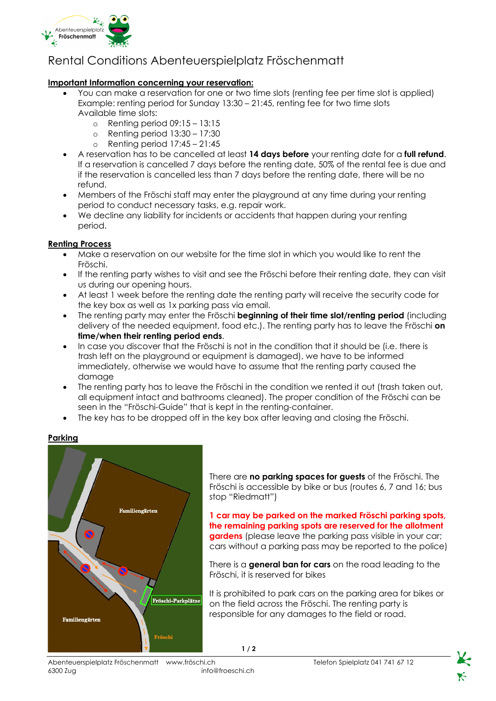

# Rental Conditions Abenteuerspielplatz Fröschenmatt

## **Important Information concerning your reservation:**

- You can make a reservation for one or two time slots (renting fee per time slot is applied) Example: renting period for Sunday 13:30 – 21:45, renting fee for two time slots Available time slots:
	- $\circ$  Renting period 09:15 13:15
	- o Renting period 13:30 17:30
	- $\circ$  Renting period 17:45 21:45
- A reservation has to be cancelled at least **14 days before** your renting date for a **full refund**. If a reservation is cancelled 7 days before the renting date, 50% of the rental fee is due and if the reservation is cancelled less than 7 days before the renting date, there will be no refund.
- Members of the Fröschi staff may enter the playground at any time during your renting period to conduct necessary tasks, e.g. repair work.
- We decline any liability for incidents or accidents that happen during your renting period.

### **Renting Process**

- Make a reservation on our website for the time slot in which you would like to rent the Fröschi.
- If the renting party wishes to visit and see the Fröschi before their renting date, they can visit us during our opening hours.
- At least 1 week before the renting date the renting party will receive the security code for the key box as well as 1x parking pass via email.
- The renting party may enter the Fröschi **beginning of their time slot/renting period** (including delivery of the needed equipment, food etc.). The renting party has to leave the Fröschi **on time/when their renting period ends**.
- In case you discover that the Fröschi is not in the condition that it should be (i.e. there is trash left on the playground or equipment is damaged), we have to be informed immediately, otherwise we would have to assume that the renting party caused the damage
- The renting party has to leave the Fröschi in the condition we rented it out (trash taken out, all equipment intact and bathrooms cleaned). The proper condition of the Fröschi can be seen in the "Fröschi-Guide" that is kept in the renting-container.
- The key has to be dropped off in the key box after leaving and closing the Fröschi.



**Parking**

There are **no parking spaces for guests** of the Fröschi. The Fröschi is accessible by bike or bus (routes 6, 7 and 16; bus stop "Riedmatt")

**1 car may be parked on the marked Fröschi parking spots, the remaining parking spots are reserved for the allotment gardens** (please leave the parking pass visible in your car; cars without a parking pass may be reported to the police)

There is a **general ban for cars** on the road leading to the Fröschi, it is reserved for bikes

It is prohibited to park cars on the parking area for bikes or on the field across the Fröschi. The renting party is responsible for any damages to the field or road.

**1 / 2**